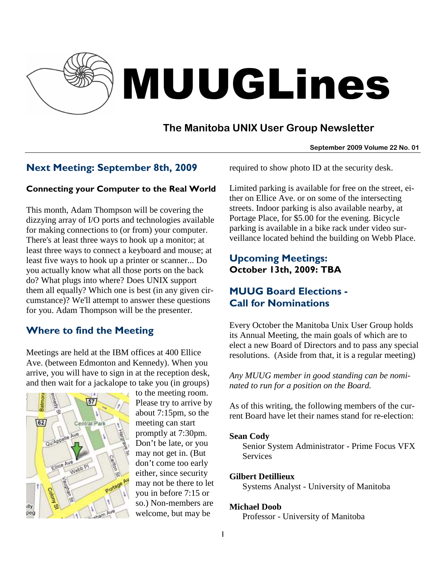

# MUUGLines

# **The Manitoba UNIX User Group Newsletter**

**September 2009 Volume 22 No. 01**

## Next Meeting: September 8th, 2009

## Connecting your Computer to the Real World

This month, Adam Thompson will be covering the dizzying array of I/O ports and technologies available for making connections to (or from) your computer. There's at least three ways to hook up a monitor; at least three ways to connect a keyboard and mouse; at least five ways to hook up a printer or scanner... Do you actually know what all those ports on the back do? What plugs into where? Does UNIX support them all equally? Which one is best (in any given circumstance)? We'll attempt to answer these questions for you. Adam Thompson will be the presenter.

## Where to find the Meeting

Meetings are held at the IBM offices at 400 Ellice Ave. (between Edmonton and Kennedy). When you arrive, you will have to sign in at the reception desk, and then wait for a jackalope to take you (in groups)



to the meeting room. Please try to arrive by about 7:15pm, so the meeting can start promptly at 7:30pm. Don't be late, or you may not get in. (But don't come too early either, since security may not be there to let you in before 7:15 or so.) Non-members are welcome, but may be

required to show photo ID at the security desk.

Limited parking is available for free on the street, either on Ellice Ave. or on some of the intersecting streets. Indoor parking is also available nearby, at Portage Place, for \$5.00 for the evening. Bicycle parking is available in a bike rack under video surveillance located behind the building on Webb Place.

## Upcoming Meetings: October 13th, 2009: TBA

# MUUG Board Elections - Call for Nominations

Every October the Manitoba Unix User Group holds its Annual Meeting, the main goals of which are to elect a new Board of Directors and to pass any special resolutions. (Aside from that, it is a regular meeting)

*Any MUUG member in good standing can be nominated to run for a position on the Board.* 

As of this writing, the following members of the current Board have let their names stand for re-election:

#### **Sean Cody**

Senior System Administrator - Prime Focus VFX Services

## **Gilbert Detillieux**

Systems Analyst - University of Manitoba

## **Michael Doob**

Professor - University of Manitoba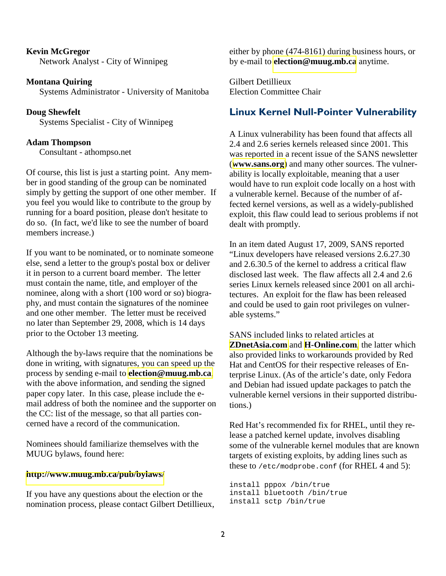### **Kevin McGregor** Network Analyst - City of Winnipeg

**Montana Quiring** Systems Administrator - University of Manitoba

**Doug Shewfelt** Systems Specialist - City of Winnipeg

### **Adam Thompson**

Consultant - athompso.net

Of course, this list is just a starting point. Any member in good standing of the group can be nominated simply by getting the support of one other member. If you feel you would like to contribute to the group by running for a board position, please don't hesitate to do so. (In fact, we'd like to see the number of board members increase.)

If you want to be nominated, or to nominate someone else, send a letter to the group's postal box or deliver it in person to a current board member. The letter must contain the name, title, and employer of the nominee, along with a short (100 word or so) biography, and must contain the signatures of the nominee and one other member. The letter must be received no later than September 29, 2008, which is 14 days prior to the October 13 meeting.

Although the by-laws require that the nominations be done in writing, with signatures, you can speed up the process by sending e-mail to **[election@muug.mb.ca](mailto:election@muug.mb.ca)**, with the above information, and sending the signed paper copy later. In this case, please include the email address of both the nominee and the supporter on the CC: list of the message, so that all parties concerned have a record of the communication.

Nominees should familiarize themselves with the MUUG bylaws, found here:

#### **<http://www.muug.mb.ca/pub/bylaws/>**

If you have any questions about the election or the nomination process, please contact Gilbert Detillieux,

either by phone (474-8161) during business hours, or by e-mail to **[election@muug.mb.ca](mailto:election@muug.mb.ca)** anytime.

Gilbert Detillieux Election Committee Chair

## Linux Kernel Null-Pointer Vulnerability

A Linux vulnerability has been found that affects all 2.4 and 2.6 series kernels released since 2001. This was reported in a recent issue of the SANS newsletter (**[www.sans.org](https://www.sans.org/newsletters/newsbites/newsbites.php?vol=11&issue=65)**) and many other sources. The vulnerability is locally exploitable, meaning that a user would have to run exploit code locally on a host with a vulnerable kernel. Because of the number of affected kernel versions, as well as a widely-published exploit, this flaw could lead to serious problems if not dealt with promptly.

In an item dated August 17, 2009, SANS reported "Linux developers have released versions 2.6.27.30 and 2.6.30.5 of the kernel to address a critical flaw disclosed last week. The flaw affects all 2.4 and 2.6 series Linux kernels released since 2001 on all architectures. An exploit for the flaw has been released and could be used to gain root privileges on vulnerable systems."

SANS included links to related articles at **[ZDnetAsia.com](http://www.zdnetasia.com/news/security/0,39044215,62056937,00.htm)** and **[H-Online.com](http://www.h-online.com/security/Linux-kernel-vulnerability-fixes--/news/114021)**, the latter which also provided links to workarounds provided by Red Hat and CentOS for their respective releases of Enterprise Linux. (As of the article's date, only Fedora and Debian had issued update packages to patch the vulnerable kernel versions in their supported distributions.)

Red Hat's recommended fix for RHEL, until they release a patched kernel update, involves disabling some of the vulnerable kernel modules that are known targets of existing exploits, by adding lines such as these to /etc/modprobe.conf (for RHEL 4 and 5):

install pppox /bin/true install bluetooth /bin/true install sctp /bin/true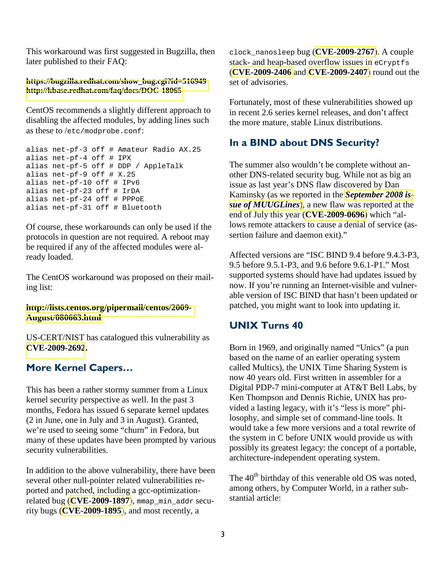This workaround was first suggested in Bugzilla, then later published to their FAQ:

#### **[https://bugzilla.redhat.com/show\\_bug.cgi?id=516949](https://bugzilla.redhat.com/show_bug.cgi?id=516949) <http://kbase.redhat.com/faq/docs/DOC-18065>**

CentOS recommends a slightly different approach to disabling the affected modules, by adding lines such as these to /etc/modprobe.conf:

```
alias net-pf-3 off # Amateur Radio AX.25 
alias net-pf-4 off # IPX 
alias net-pf-5 off # DDP / AppleTalk 
alias net-pf-9 off # X.25 
alias net-pf-10 off # IPv6 
alias net-pf-23 off # IrDA 
alias net-pf-24 off # PPPoE 
alias net-pf-31 off # Bluetooth
```
Of course, these workarounds can only be used if the protocols in question are not required. A reboot may be required if any of the affected modules were already loaded.

The CentOS workaround was proposed on their mailing list:

### **[http://lists.centos.org/pipermail/centos/2009-](http://lists.centos.org/pipermail/centos/2009-August/080663.html) [August/080663.html](http://lists.centos.org/pipermail/centos/2009-August/080663.html)**

US-CERT/NIST has catalogued this vulnerability as **[CVE-2009-2692](http://web.nvd.nist.gov/view/vuln/detail?vulnId=CVE-2009-2692).**

## More Kernel Capers…

This has been a rather stormy summer from a Linux kernel security perspective as well. In the past 3 months, Fedora has issued 6 separate kernel updates (2 in June, one in July and 3 in August). Granted, we're used to seeing some "churn" in Fedora, but many of these updates have been prompted by various security vulnerabilities.

In addition to the above vulnerability, there have been several other null-pointer related vulnerabilities reported and patched, including a gcc-optimizationrelated bug (**[CVE-2009-1897](http://web.nvd.nist.gov/view/vuln/detail?vulnId=CVE-2009-1897)**), mmap\_min\_addr security bugs (**[CVE-2009-1895](http://web.nvd.nist.gov/view/vuln/detail?vulnId=CVE-2009-1895)**), and most recently, a

clock\_nanosleep bug (**[CVE-2009-2767](http://web.nvd.nist.gov/view/vuln/detail?vulnId=CVE-2009-2767)**). A couple stack- and heap-based overflow issues in eCryptfs (**[CVE-2009-2406](http://web.nvd.nist.gov/view/vuln/detail?vulnId=CVE-2009-2406)** and **[CVE-2009-2407](http://web.nvd.nist.gov/view/vuln/detail?vulnId=CVE-2009-2407)**) round out the set of advisories.

Fortunately, most of these vulnerabilities showed up in recent 2.6 series kernel releases, and don't affect the more mature, stable Linux distributions.

## In a BIND about DNS Security?

The summer also wouldn't be complete without another DNS-related security bug. While not as big an issue as last year's DNS flaw discovered by Dan Kaminsky (as we reported in the *[September 2008 is](http://www.muug.mb.ca/pub/muuglines/pdf/muug0809.pdf)[sue of MUUGLines](http://www.muug.mb.ca/pub/muuglines/pdf/muug0809.pdf)*), a new flaw was reported at the end of July this year (**[CVE-2009-0696](http://web.nvd.nist.gov/view/vuln/detail?vulnId=CVE-2009-0696)**) which "allows remote attackers to cause a denial of service (assertion failure and daemon exit)."

Affected versions are "ISC BIND 9.4 before 9.4.3-P3, 9.5 before 9.5.1-P3, and 9.6 before 9.6.1-P1." Most supported systems should have had updates issued by now. If you're running an Internet-visible and vulnerable version of ISC BIND that hasn't been updated or patched, you might want to look into updating it.

## UNIX Turns 40

Born in 1969, and originally named "Unics" (a pun based on the name of an earlier operating system called Multics), the UNIX Time Sharing System is now 40 years old. First written in assembler for a Digital PDP-7 mini-computer at AT&T Bell Labs, by Ken Thompson and Dennis Richie, UNIX has provided a lasting legacy, with it's "less is more" philosophy, and simple set of command-line tools. It would take a few more versions and a total rewrite of the system in C before UNIX would provide us with possibly its greatest legacy: the concept of a portable, architecture-independent operating system.

The 40<sup>th</sup> birthday of this venerable old OS was noted, among others, by Computer World, in a rather substantial article: